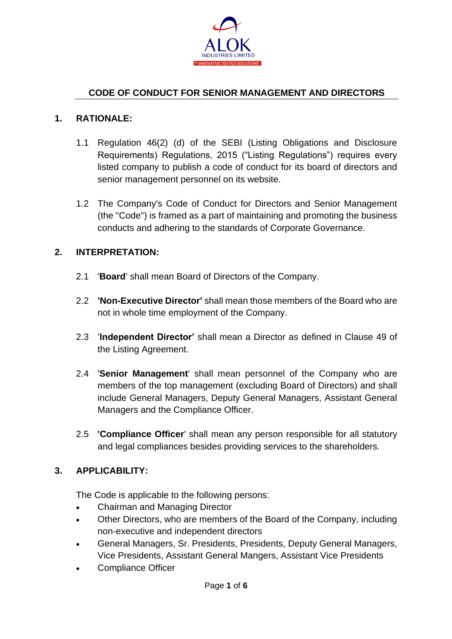

### **CODE OF CONDUCT FOR SENIOR MANAGEMENT AND DIRECTORS**

#### **1. RATIONALE:**

- 1.1 Regulation 46(2) (d) of the SEBI (Listing Obligations and Disclosure Requirements) Regulations, 2015 ("Listing Regulations") requires every listed company to publish a code of conduct for its board of directors and senior management personnel on its website.
- 1.2 The Company's Code of Conduct for Directors and Senior Management (the "Code") is framed as a part of maintaining and promoting the business conducts and adhering to the standards of Corporate Governance.

#### **2. INTERPRETATION:**

- 2.1 '**Board**' shall mean Board of Directors of the Company.
- 2.2 **'Non-Executive Director'** shall mean those members of the Board who are not in whole time employment of the Company.
- 2.3 '**Independent Director'** shall mean a Director as defined in Clause 49 of the Listing Agreement.
- 2.4 '**Senior Management**' shall mean personnel of the Company who are members of the top management (excluding Board of Directors) and shall include General Managers, Deputy General Managers, Assistant General Managers and the Compliance Officer.
- 2.5 **'Compliance Officer**' shall mean any person responsible for all statutory and legal compliances besides providing services to the shareholders.

#### **3. APPLICABILITY:**

The Code is applicable to the following persons:

- Chairman and Managing Director
- Other Directors, who are members of the Board of the Company, including non-executive and independent directors
- General Managers, Sr. Presidents, Presidents, Deputy General Managers, Vice Presidents, Assistant General Mangers, Assistant Vice Presidents
- Compliance Officer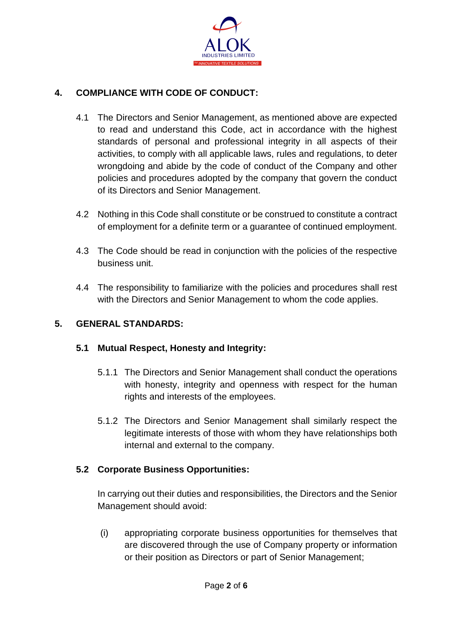

# **4. COMPLIANCE WITH CODE OF CONDUCT:**

- 4.1 The Directors and Senior Management, as mentioned above are expected to read and understand this Code, act in accordance with the highest standards of personal and professional integrity in all aspects of their activities, to comply with all applicable laws, rules and regulations, to deter wrongdoing and abide by the code of conduct of the Company and other policies and procedures adopted by the company that govern the conduct of its Directors and Senior Management.
- 4.2 Nothing in this Code shall constitute or be construed to constitute a contract of employment for a definite term or a guarantee of continued employment.
- 4.3 The Code should be read in conjunction with the policies of the respective business unit.
- 4.4 The responsibility to familiarize with the policies and procedures shall rest with the Directors and Senior Management to whom the code applies.

## **5. GENERAL STANDARDS:**

#### **5.1 Mutual Respect, Honesty and Integrity:**

- 5.1.1 The Directors and Senior Management shall conduct the operations with honesty, integrity and openness with respect for the human rights and interests of the employees.
- 5.1.2 The Directors and Senior Management shall similarly respect the legitimate interests of those with whom they have relationships both internal and external to the company.

## **5.2 Corporate Business Opportunities:**

In carrying out their duties and responsibilities, the Directors and the Senior Management should avoid:

(i) appropriating corporate business opportunities for themselves that are discovered through the use of Company property or information or their position as Directors or part of Senior Management;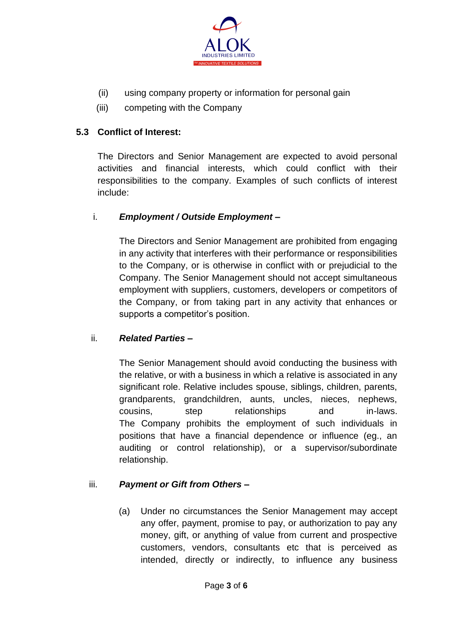

- (ii) using company property or information for personal gain
- (iii) competing with the Company

### **5.3 Conflict of Interest:**

The Directors and Senior Management are expected to avoid personal activities and financial interests, which could conflict with their responsibilities to the company. Examples of such conflicts of interest include:

#### i. *Employment / Outside Employment –*

The Directors and Senior Management are prohibited from engaging in any activity that interferes with their performance or responsibilities to the Company, or is otherwise in conflict with or prejudicial to the Company. The Senior Management should not accept simultaneous employment with suppliers, customers, developers or competitors of the Company, or from taking part in any activity that enhances or supports a competitor's position.

#### ii. *Related Parties –*

The Senior Management should avoid conducting the business with the relative, or with a business in which a relative is associated in any significant role. Relative includes spouse, siblings, children, parents, grandparents, grandchildren, aunts, uncles, nieces, nephews, cousins, step relationships and in-laws. The Company prohibits the employment of such individuals in positions that have a financial dependence or influence (eg., an auditing or control relationship), or a supervisor/subordinate relationship.

#### iii. *Payment or Gift from Others –*

(a) Under no circumstances the Senior Management may accept any offer, payment, promise to pay, or authorization to pay any money, gift, or anything of value from current and prospective customers, vendors, consultants etc that is perceived as intended, directly or indirectly, to influence any business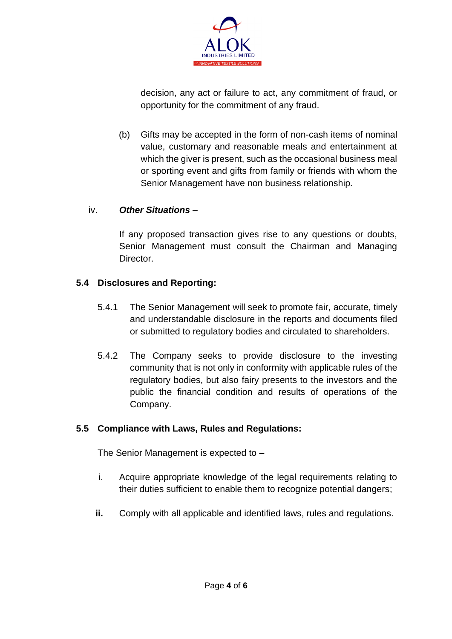

decision, any act or failure to act, any commitment of fraud, or opportunity for the commitment of any fraud.

(b) Gifts may be accepted in the form of non-cash items of nominal value, customary and reasonable meals and entertainment at which the giver is present, such as the occasional business meal or sporting event and gifts from family or friends with whom the Senior Management have non business relationship.

#### iv. *Other Situations –*

If any proposed transaction gives rise to any questions or doubts, Senior Management must consult the Chairman and Managing Director.

## **5.4 Disclosures and Reporting:**

- 5.4.1 The Senior Management will seek to promote fair, accurate, timely and understandable disclosure in the reports and documents filed or submitted to regulatory bodies and circulated to shareholders.
- 5.4.2 The Company seeks to provide disclosure to the investing community that is not only in conformity with applicable rules of the regulatory bodies, but also fairy presents to the investors and the public the financial condition and results of operations of the Company.

#### **5.5 Compliance with Laws, Rules and Regulations:**

The Senior Management is expected to –

- i. Acquire appropriate knowledge of the legal requirements relating to their duties sufficient to enable them to recognize potential dangers;
- **ii.** Comply with all applicable and identified laws, rules and regulations.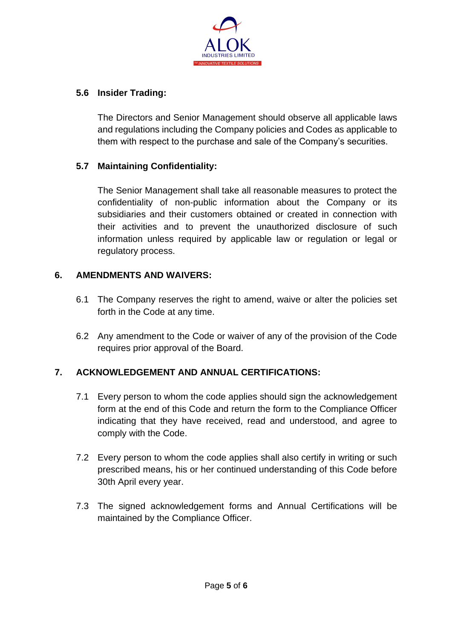

### **5.6 Insider Trading:**

The Directors and Senior Management should observe all applicable laws and regulations including the Company policies and Codes as applicable to them with respect to the purchase and sale of the Company's securities.

### **5.7 Maintaining Confidentiality:**

The Senior Management shall take all reasonable measures to protect the confidentiality of non-public information about the Company or its subsidiaries and their customers obtained or created in connection with their activities and to prevent the unauthorized disclosure of such information unless required by applicable law or regulation or legal or regulatory process.

### **6. AMENDMENTS AND WAIVERS:**

- 6.1 The Company reserves the right to amend, waive or alter the policies set forth in the Code at any time.
- 6.2 Any amendment to the Code or waiver of any of the provision of the Code requires prior approval of the Board.

## **7. ACKNOWLEDGEMENT AND ANNUAL CERTIFICATIONS:**

- 7.1 Every person to whom the code applies should sign the acknowledgement form at the end of this Code and return the form to the Compliance Officer indicating that they have received, read and understood, and agree to comply with the Code.
- 7.2 Every person to whom the code applies shall also certify in writing or such prescribed means, his or her continued understanding of this Code before 30th April every year.
- 7.3 The signed acknowledgement forms and Annual Certifications will be maintained by the Compliance Officer.